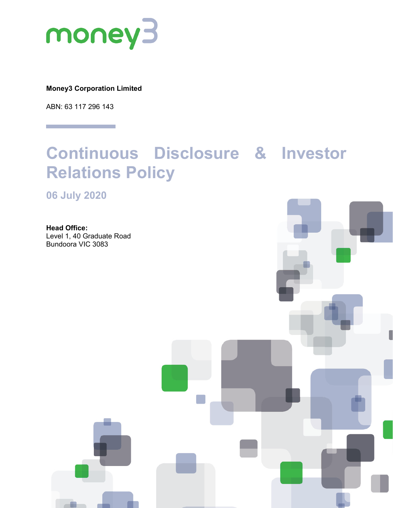

**Money3 Corporation Limited**

ABN: 63 117 296 143

# **Continuous Disclosure & Investor Relations Policy**

**06 July 2020**

**Head Office:** Level 1, 40 Graduate Road Bundoora VIC 3083

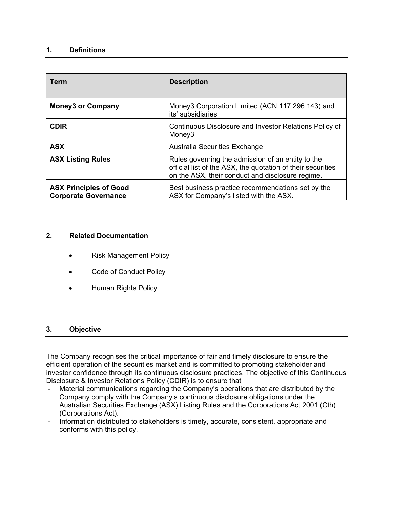## **1. Definitions**

| <b>Term</b>                                                  | <b>Description</b>                                                                                                                                                   |
|--------------------------------------------------------------|----------------------------------------------------------------------------------------------------------------------------------------------------------------------|
| <b>Money3 or Company</b>                                     | Money3 Corporation Limited (ACN 117 296 143) and<br>its' subsidiaries                                                                                                |
| <b>CDIR</b>                                                  | Continuous Disclosure and Investor Relations Policy of<br>Money <sub>3</sub>                                                                                         |
| <b>ASX</b>                                                   | Australia Securities Exchange                                                                                                                                        |
| <b>ASX Listing Rules</b>                                     | Rules governing the admission of an entity to the<br>official list of the ASX, the quotation of their securities<br>on the ASX, their conduct and disclosure regime. |
| <b>ASX Principles of Good</b><br><b>Corporate Governance</b> | Best business practice recommendations set by the<br>ASX for Company's listed with the ASX.                                                                          |

## **2. Related Documentation**

- Risk Management Policy
- Code of Conduct Policy
- Human Rights Policy

## **3. Objective**

The Company recognises the critical importance of fair and timely disclosure to ensure the efficient operation of the securities market and is committed to promoting stakeholder and investor confidence through its continuous disclosure practices. The objective of this Continuous Disclosure & Investor Relations Policy (CDIR) is to ensure that

- Material communications regarding the Company's operations that are distributed by the Company comply with the Company's continuous disclosure obligations under the Australian Securities Exchange (ASX) Listing Rules and the Corporations Act 2001 (Cth) (Corporations Act).
- Information distributed to stakeholders is timely, accurate, consistent, appropriate and conforms with this policy.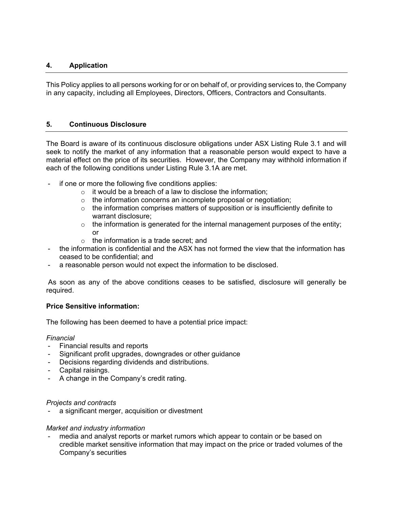# **4. Application**

This Policy applies to all persons working for or on behalf of, or providing services to, the Company in any capacity, including all Employees, Directors, Officers, Contractors and Consultants.

## **5. Continuous Disclosure**

The Board is aware of its continuous disclosure obligations under ASX Listing Rule 3.1 and will seek to notify the market of any information that a reasonable person would expect to have a material effect on the price of its securities. However, the Company may withhold information if each of the following conditions under Listing Rule 3.1A are met.

- if one or more the following five conditions applies:
	- $\circ$  it would be a breach of a law to disclose the information:
	- $\circ$  the information concerns an incomplete proposal or negotiation;
	- o the information comprises matters of supposition or is insufficiently definite to warrant disclosure;
	- $\circ$  the information is generated for the internal management purposes of the entity; or
	- o the information is a trade secret; and
- the information is confidential and the ASX has not formed the view that the information has ceased to be confidential; and
- a reasonable person would not expect the information to be disclosed.

As soon as any of the above conditions ceases to be satisfied, disclosure will generally be required.

## **Price Sensitive information:**

The following has been deemed to have a potential price impact:

#### *Financial*

- Financial results and reports
- Significant profit upgrades, downgrades or other guidance
- Decisions regarding dividends and distributions.
- Capital raisings.
- A change in the Company's credit rating.

#### *Projects and contracts*

a significant merger, acquisition or divestment

#### *Market and industry information*

media and analyst reports or market rumors which appear to contain or be based on credible market sensitive information that may impact on the price or traded volumes of the Company's securities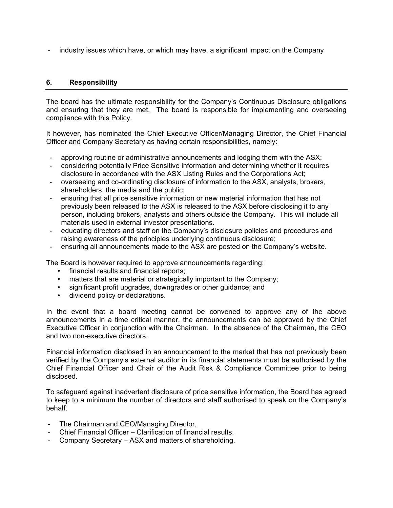- industry issues which have, or which may have, a significant impact on the Company

## **6. Responsibility**

The board has the ultimate responsibility for the Company's Continuous Disclosure obligations and ensuring that they are met. The board is responsible for implementing and overseeing compliance with this Policy.

It however, has nominated the Chief Executive Officer/Managing Director, the Chief Financial Officer and Company Secretary as having certain responsibilities, namely:

- approving routine or administrative announcements and lodging them with the ASX;<br>- considering potentially Price Sensitive information and determining whether it require
- considering potentially Price Sensitive information and determining whether it requires disclosure in accordance with the ASX Listing Rules and the Corporations Act;
- overseeing and co-ordinating disclosure of information to the ASX, analysts, brokers, shareholders, the media and the public;
- ensuring that all price sensitive information or new material information that has not previously been released to the ASX is released to the ASX before disclosing it to any person, including brokers, analysts and others outside the Company. This will include all materials used in external investor presentations.
- educating directors and staff on the Company's disclosure policies and procedures and raising awareness of the principles underlying continuous disclosure;
- ensuring all announcements made to the ASX are posted on the Company's website.

The Board is however required to approve announcements regarding:

- financial results and financial reports;
- matters that are material or strategically important to the Company;
- significant profit upgrades, downgrades or other guidance; and
- dividend policy or declarations.

In the event that a board meeting cannot be convened to approve any of the above announcements in a time critical manner, the announcements can be approved by the Chief Executive Officer in conjunction with the Chairman. In the absence of the Chairman, the CEO and two non-executive directors.

Financial information disclosed in an announcement to the market that has not previously been verified by the Company's external auditor in its financial statements must be authorised by the Chief Financial Officer and Chair of the Audit Risk & Compliance Committee prior to being disclosed.

To safeguard against inadvertent disclosure of price sensitive information, the Board has agreed to keep to a minimum the number of directors and staff authorised to speak on the Company's behalf.

- The Chairman and CEO/Managing Director,
- Chief Financial Officer Clarification of financial results.
- Company Secretary ASX and matters of shareholding.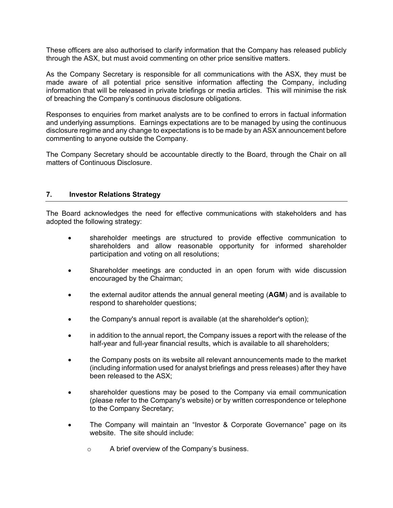These officers are also authorised to clarify information that the Company has released publicly through the ASX, but must avoid commenting on other price sensitive matters.

As the Company Secretary is responsible for all communications with the ASX, they must be made aware of all potential price sensitive information affecting the Company, including information that will be released in private briefings or media articles. This will minimise the risk of breaching the Company's continuous disclosure obligations.

Responses to enquiries from market analysts are to be confined to errors in factual information and underlying assumptions. Earnings expectations are to be managed by using the continuous disclosure regime and any change to expectations is to be made by an ASX announcement before commenting to anyone outside the Company.

The Company Secretary should be accountable directly to the Board, through the Chair on all matters of Continuous Disclosure.

## **7. Investor Relations Strategy**

The Board acknowledges the need for effective communications with stakeholders and has adopted the following strategy:

- shareholder meetings are structured to provide effective communication to shareholders and allow reasonable opportunity for informed shareholder participation and voting on all resolutions;
- Shareholder meetings are conducted in an open forum with wide discussion encouraged by the Chairman;
- the external auditor attends the annual general meeting (**AGM**) and is available to respond to shareholder questions;
- the Company's annual report is available (at the shareholder's option);
- in addition to the annual report, the Company issues a report with the release of the half-year and full-year financial results, which is available to all shareholders;
- the Company posts on its website all relevant announcements made to the market (including information used for analyst briefings and press releases) after they have been released to the ASX;
- shareholder questions may be posed to the Company via email communication (please refer to the Company's website) or by written correspondence or telephone to the Company Secretary;
- The Company will maintain an "Investor & Corporate Governance" page on its website. The site should include:
	- o A brief overview of the Company's business.